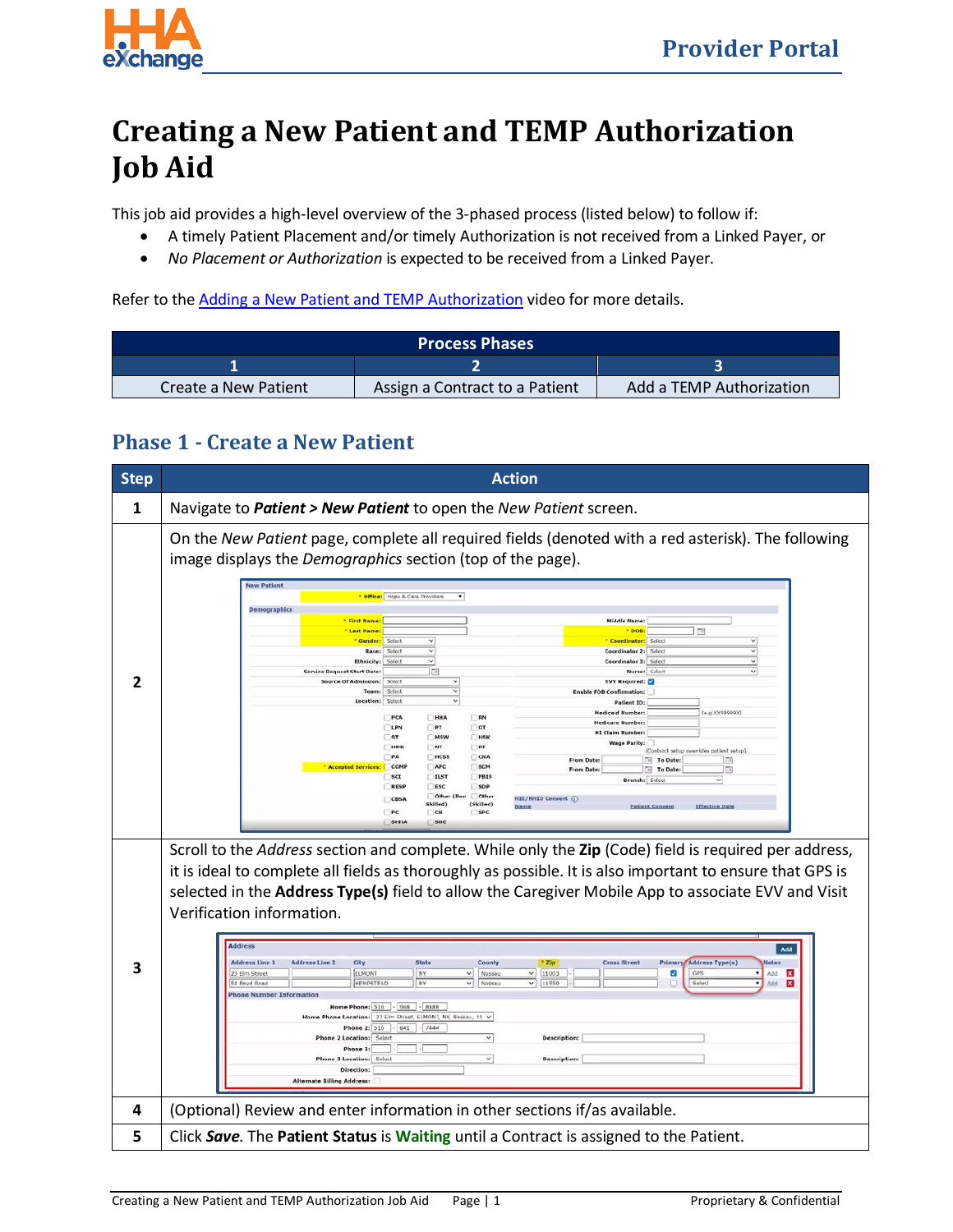

## **Creating a New Patient and TEMP Authorization Job Aid**

This job aid provides a high-level overview of the 3-phased process (listed below) to follow if:

- A timely Patient Placement and/or timely Authorization is not received from a Linked Payer, or
- *No Placement or Authorization* is expected to be received from a Linked Payer.

Refer to the Adding a New Patient [and TEMP Authorization](http://hhaxsupport.s3.amazonaws.com/SupportDocs/ENTF/Videos/ENTF7-HHAX_Create_Patient_Auth.mp4) video for more details.

| <b>Process Phases</b> |                                |                          |  |  |  |
|-----------------------|--------------------------------|--------------------------|--|--|--|
|                       |                                |                          |  |  |  |
| Create a New Patient  | Assign a Contract to a Patient | Add a TEMP Authorization |  |  |  |

## **Phase 1 - Create a New Patient**

| <b>Step</b> | <b>Action</b>                                                                                                                                                                                                                                                                                                                                                                                                                                                                                                                                                                                                                                                                                                                                                                                                                                                                                                                                                                                                                                                                                                                                                                                                                                                                                                                                                                                                                                                    |  |  |  |  |
|-------------|------------------------------------------------------------------------------------------------------------------------------------------------------------------------------------------------------------------------------------------------------------------------------------------------------------------------------------------------------------------------------------------------------------------------------------------------------------------------------------------------------------------------------------------------------------------------------------------------------------------------------------------------------------------------------------------------------------------------------------------------------------------------------------------------------------------------------------------------------------------------------------------------------------------------------------------------------------------------------------------------------------------------------------------------------------------------------------------------------------------------------------------------------------------------------------------------------------------------------------------------------------------------------------------------------------------------------------------------------------------------------------------------------------------------------------------------------------------|--|--|--|--|
| 1           | Navigate to Patient > New Patient to open the New Patient screen.                                                                                                                                                                                                                                                                                                                                                                                                                                                                                                                                                                                                                                                                                                                                                                                                                                                                                                                                                                                                                                                                                                                                                                                                                                                                                                                                                                                                |  |  |  |  |
| 2           | On the New Patient page, complete all required fields (denoted with a red asterisk). The following<br>image displays the <i>Demographics</i> section (top of the page).<br><b>New Patient</b><br>* Office: Hope & Care Providers<br>$\bullet$<br><b>Demographics</b><br><b>Middle Name:</b><br><b>* First Name</b><br>$\sqrt{2}$<br>* DOB:<br><b>Last Name</b><br>Gender:<br>Select<br><b>Coordinator:</b> Select<br>v<br>Coordinator 2: Select<br>Race:<br>Select<br>$\checkmark$<br>Coordinator 3: Select<br><b>Ethnicity</b><br>Select<br><b>Service Request Start Date:</b><br>m<br>Nurse: Select<br>Source Of Admission:<br>Select<br><b>EVV Required:</b><br>$\overline{\phantom{0}}$<br>Team:<br>Select<br><b>Enable FOB Confirmation:</b><br>Location: Select<br><b>Patient ID:</b><br>(e.g.XX99999X)<br><b>Medicaid Number</b><br>PCA<br>HHA<br>RN<br><b>Medicare Number:</b><br>LPN<br>P<br>or<br><b>HI Claim Number:</b><br>57<br>$R$ HSK<br>MSW<br><b>Wage Parity:</b><br>нмк<br>NT<br>RT<br>(Contract setup overrides patient setup)<br>PA<br>HCSS<br>CNA<br>To Date:<br>同<br>From Date:<br>Accepted Services: COMP<br>APC<br>SCM<br>To Date:<br>$\overline{\mathbb{Z}}$<br><b>From Date:</b><br><b>ILST</b><br>SCI<br>PBIS<br>Branch: Select<br>v<br>RESP<br>ESC<br>SDP<br>Other<br>Other<br>HIE/RHIO Consent (<br>CBSA<br>Skilled)<br>(Skilled)<br><b>Effective Date</b><br><b>Patient Consent</b><br>$\Box$ PC<br>R<br>SPC<br><b>SHHA</b><br>SHC |  |  |  |  |
| З           | Scroll to the Address section and complete. While only the Zip (Code) field is required per address,<br>it is ideal to complete all fields as thoroughly as possible. It is also important to ensure that GPS is<br>selected in the Address Type(s) field to allow the Caregiver Mobile App to associate EVV and Visit<br>Verification information.<br>Address<br>Add<br><b>Address Line 1</b><br><b>Address Line 2</b><br>City<br>State<br><b>Cross Street</b><br>Primary Address Type(s)<br>County<br>Zip<br>Notes<br>23 Elm Street<br>ELMONT<br>NY.<br>Nassau<br>11003<br>ø<br>GPS<br>Add<br>$\mathbf{x}$<br>v.<br>v.<br>$\vee$<br>Nassau<br>▿<br>11550<br>X<br>HEMPSTEAD<br>NY<br>Select<br>Add<br>54 Boyd Road<br>Phone Number Information<br>Home Phone: 516 - 068 - 8888<br>Home Phone Location: 23 Elm Street, ELMONT, NY, Nassau, 11 V<br>Phone 2: 516<br>841<br>7444<br>Phone 2 Location: Select<br>$\checkmark$<br><b>Description:</b><br>Phone 3:<br>$\checkmark$<br><b>Description:</b><br><b>Phone 3 Location:</b><br>Select<br>Direction:<br><b>Alternate Billing Address:</b>                                                                                                                                                                                                                                                                                                                                                                    |  |  |  |  |
| 4           | (Optional) Review and enter information in other sections if/as available.                                                                                                                                                                                                                                                                                                                                                                                                                                                                                                                                                                                                                                                                                                                                                                                                                                                                                                                                                                                                                                                                                                                                                                                                                                                                                                                                                                                       |  |  |  |  |
| 5           | Click Save. The Patient Status is Waiting until a Contract is assigned to the Patient.                                                                                                                                                                                                                                                                                                                                                                                                                                                                                                                                                                                                                                                                                                                                                                                                                                                                                                                                                                                                                                                                                                                                                                                                                                                                                                                                                                           |  |  |  |  |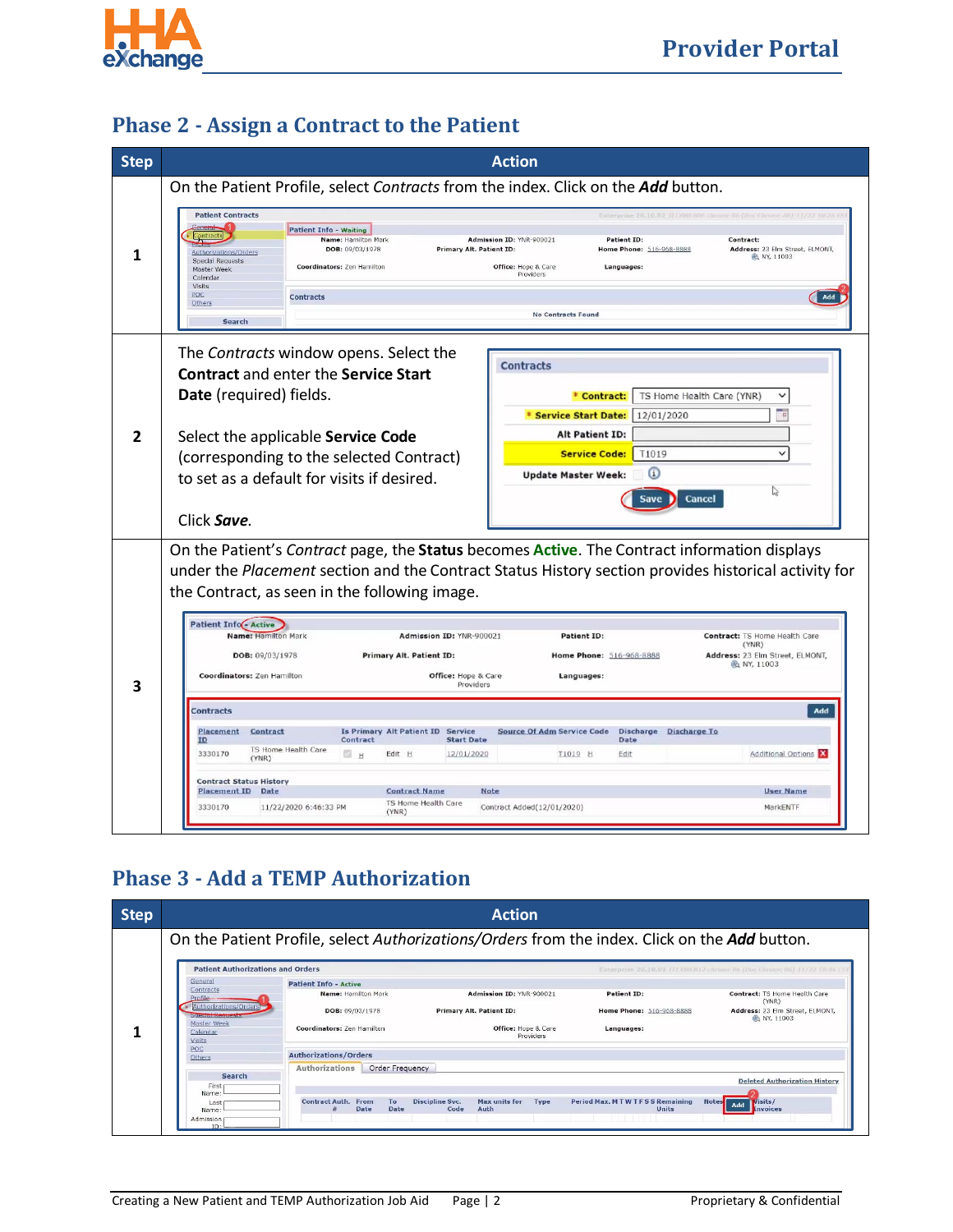

## **Phase 2 - Assign a Contract to the Patient**

| <b>Step</b> | <b>Action</b>                                                                                                                                                                                                                                                                                                                                                                                                                                                                                                                                                                                                                                                                                                                                                                                                                                                                                                                                                                                                                                                                                                                                                                                                        |  |  |  |  |
|-------------|----------------------------------------------------------------------------------------------------------------------------------------------------------------------------------------------------------------------------------------------------------------------------------------------------------------------------------------------------------------------------------------------------------------------------------------------------------------------------------------------------------------------------------------------------------------------------------------------------------------------------------------------------------------------------------------------------------------------------------------------------------------------------------------------------------------------------------------------------------------------------------------------------------------------------------------------------------------------------------------------------------------------------------------------------------------------------------------------------------------------------------------------------------------------------------------------------------------------|--|--|--|--|
|             | On the Patient Profile, select Contracts from the index. Click on the Add button.                                                                                                                                                                                                                                                                                                                                                                                                                                                                                                                                                                                                                                                                                                                                                                                                                                                                                                                                                                                                                                                                                                                                    |  |  |  |  |
| 1           | <b>Patient Contracts</b><br>Enterprise 20:10.02 TELXWEB06 chronic 86 (Doc Chronic 86) 11/22 18:26<br><b>Patient Info - Waiting</b><br>Name: Hamilton Mark<br>Admission ID: YNR-900021<br><b>Patient ID:</b><br>Contract:<br>DOB: 09/03/1978<br>Address: 23 Elm Street, ELMONT,<br><b>Primary Alt. Patient ID:</b><br>Home Phone: 516-968-8888<br>Authorizations/Orders<br><b>R</b> NY, 11003<br>Special Requests<br>Coordinators: Zen Hamilton<br>Office: Hope & Care<br>Languages:<br>Master Week<br>Providers<br>Calendar<br>Visits<br>POC<br><b>Contracts</b><br>Add<br>Others<br><b>No Contracts Found</b><br>Search                                                                                                                                                                                                                                                                                                                                                                                                                                                                                                                                                                                             |  |  |  |  |
| 2           | The Contracts window opens. Select the<br><b>Contracts</b><br><b>Contract and enter the Service Start</b><br>Date (required) fields.<br>TS Home Health Care (YNR)<br>* Contract:<br>$\checkmark$<br>Œ<br>* Service Start Date:<br>12/01/2020<br><b>Alt Patient ID:</b><br>Select the applicable Service Code<br><b>Service Code:</b><br>T1019<br>$\checkmark$<br>(corresponding to the selected Contract)<br>$\omega$<br><b>Update Master Week:</b><br>to set as a default for visits if desired.<br>D<br>Cancel<br>Save<br>Click Save.                                                                                                                                                                                                                                                                                                                                                                                                                                                                                                                                                                                                                                                                              |  |  |  |  |
| 3           | On the Patient's Contract page, the Status becomes Active. The Contract information displays<br>under the Placement section and the Contract Status History section provides historical activity for<br>the Contract, as seen in the following image.<br><b>Patient Info(- Active</b><br>Name: Hamilton Mark<br>Admission ID: YNR-900021<br><b>Patient ID:</b><br>Contract: TS Home Health Care<br>(YNR)<br>DOB: 09/03/1978<br><b>Primary Alt. Patient ID:</b><br>Address: 23 Elm Street, ELMONT,<br>Home Phone: 516-968-8888<br>the NY, 11003<br>Coordinators: Zen Hamilton<br><b>Office:</b> Hope & Care<br>Languages:<br>Providers<br><b>Contracts</b><br>Add<br>Is Primary Alt Patient ID Service<br><b>Source Of Adm Service Code</b><br>Discharge Discharge To<br>Placement<br>Contract<br>Contract<br><b>Start Date</b><br>Date<br>ID<br>TS Home Health Care<br>3330170<br><b>D</b> H<br>12/01/2020<br><b>Additional Options</b><br>Edit H<br>T1019 H<br>Edit<br>(YNR)<br><b>Contract Status History</b><br><b>Placement ID</b> Date<br><b>Contract Name</b><br><b>Note</b><br><b>User Name</b><br>TS Home Health Care<br>3330170<br>11/22/2020 6:46:33 PM<br>Contract Added(12/01/2020)<br>MarkENTF<br>(YNR) |  |  |  |  |

## **Phase 3 - Add a TEMP Authorization**